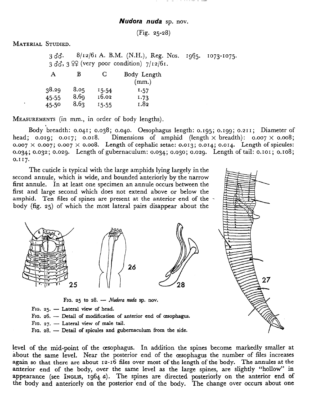## Nudora nuda sp. nov.

(Fig. 25-28)

MATERIAL STUDIED.

 $3 \text{ }\delta\delta$ . 8/12/61 A. B.M. (N.H.), Reg. Nos. 1965. 1073-1075.  $3$   $3\overline{3}$ ,  $3$   $\overline{2}$  (very poor condition)  $7/12/61$ . A B C Body Length

|                  |       | (mm.) |
|------------------|-------|-------|
| 8.05             | 15.54 | 1.57  |
|                  |       | 1.73  |
| 8.6 <sub>3</sub> | 15.55 | 1.82  |
|                  | 8.69  | 16.02 |

MEASUREMENTS (in mm., in order of body lengths).

Body breadth: 0.041; 0.038; 0.040. Oesophagus length: 0.195; 0.199; 0.211; Diameter of head; 0.019; 0.017; 0.018. Dimensions of amphid (length  $\times$  breadth): 0.007  $\times$  0.008;  $0.007 \times 0.007$ ; 0.007  $\times$  0.008. Length of cephalic setae: 0.013; 0.014; 0.014. Length of spicules: 0.034; 0.032; 0.029. Length of gubernaculum: 0.034; 0.030; 0.029. Length of tail: 0.101; 0.108; 0.117.

The cuticle is typical with the large amphids lying largely in the second annule, which is wide, and bounded anteriorly by the narrow first annule. In at least one specimen an annule occurs between the first and large second which does not extend above or below the amphid. Ten files of spines are present at the anterior end of the body (fig. 25) of which the most lateral pairs disappear about the





FIG. 25 to 28.  $-$  Nudora nuda sp. nov.

FIG.  $25.$  - Lateral view of head.

FIG. 26. - Detail of modification of anterior end of oesophagus.

- FIG.  $27.$  Lateral view of male tail.
- FIG. 28. Detail of spicules and gubernaculum from the side.

level of the mid-point of the œsophagus. In addition the spines become markedly smaller at about the same level. Near the posterior end of the œsophagus the number of files increases again so that there are about  $12-16$  files over most of the length of the body. The annules at the anterior end of the body, over the same level as the large spines, are slightly "hollow" in appearance (see INGLIS, 1964 a). The spines are directed posteriorly on the anterior end of the body and anteriorly on the posterior end of the body. The change over occurs about one